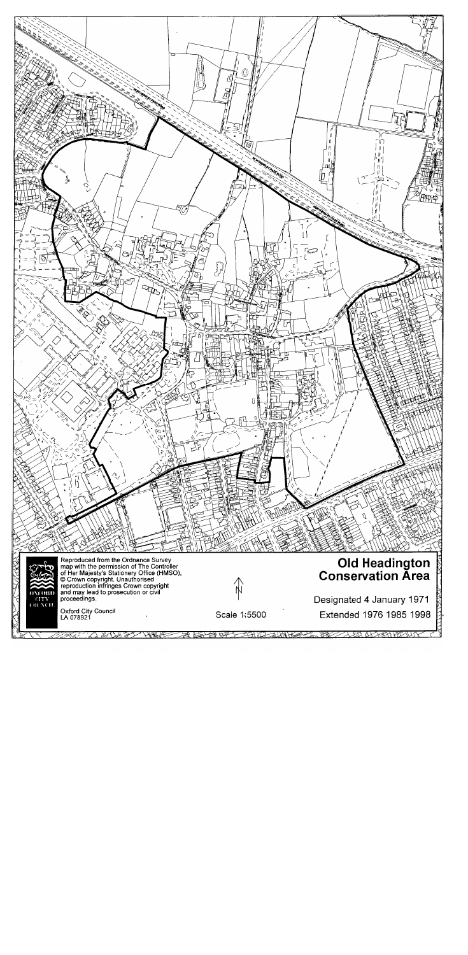